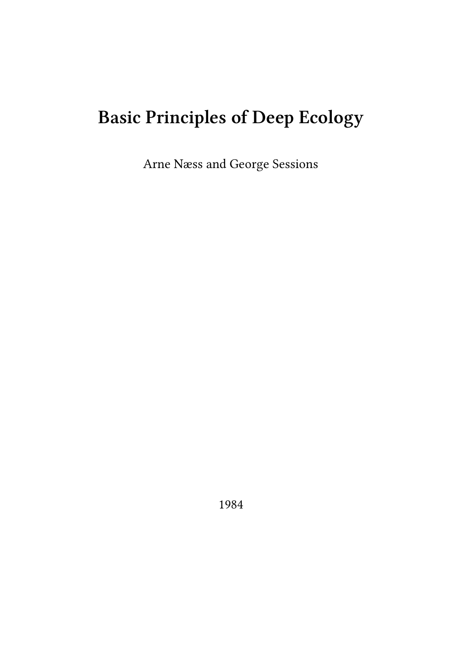# **Basic Principles of Deep Ecology**

Arne Næss and George Sessions

1984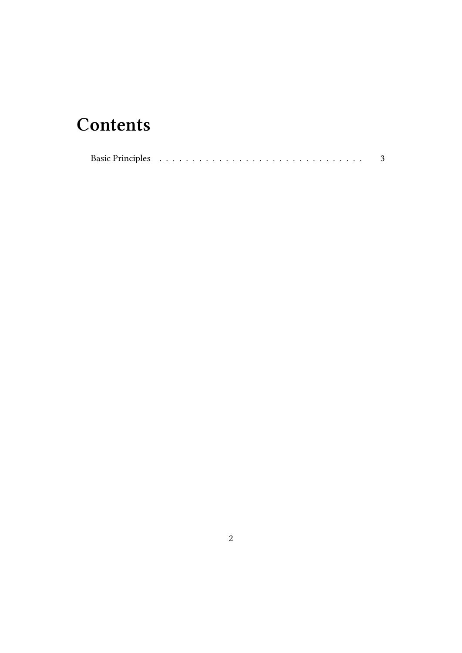## **Contents**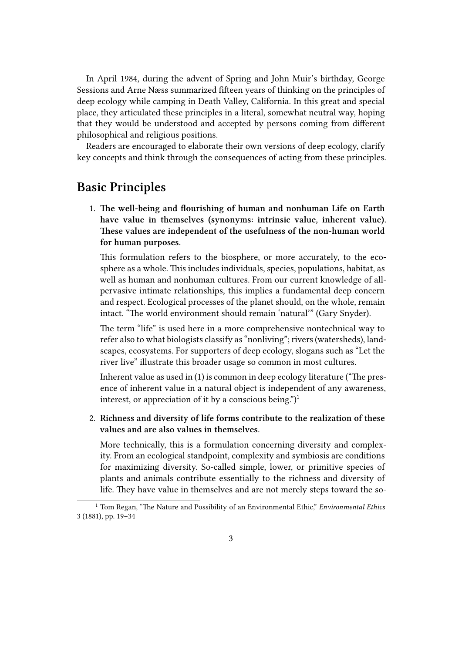In April 1984, during the advent of Spring and John Muir's birthday, George Sessions and Arne Næss summarized fifteen years of thinking on the principles of deep ecology while camping in Death Valley, California. In this great and special place, they articulated these principles in a literal, somewhat neutral way, hoping that they would be understood and accepted by persons coming from different philosophical and religious positions.

Readers are encouraged to elaborate their own versions of deep ecology, clarify key concepts and think through the consequences of acting from these principles.

### **Basic Principles**

1. **The well-being and flourishing of human and nonhuman Life on Earth have value in themselves (synonyms: intrinsic value, inherent value). These values are independent of the usefulness of the non-human world for human purposes.**

This formulation refers to the biosphere, or more accurately, to the ecosphere as a whole. This includes individuals, species, populations, habitat, as well as human and nonhuman cultures. From our current knowledge of allpervasive intimate relationships, this implies a fundamental deep concern and respect. Ecological processes of the planet should, on the whole, remain intact. "The world environment should remain 'natural'" (Gary Snyder).

The term "life" is used here in a more comprehensive nontechnical way to refer also to what biologists classify as "nonliving"; rivers (watersheds), landscapes, ecosystems. For supporters of deep ecology, slogans such as "Let the river live" illustrate this broader usage so common in most cultures.

Inherent value as used in (1) is common in deep ecology literature ("The presence of inherent value in a natural object is independent of any awareness, interest, or appreciation of it by a conscious being.")<sup>1</sup>

2. **Richness and diversity of life forms contribute to the realization of these values and are also values in themselves.**

More technically, this is a formulation concerning diversity and complexity. From an ecological standpoint, complexity and symbiosis are conditions for maximizing diversity. So-called simple, lower, or primitive species of plants and animals contribute essentially to the richness and diversity of life. They have value in themselves and are not merely steps toward the so-

<sup>1</sup> Tom Regan, "The Nature and Possibility of an Environmental Ethic," *Environmental Ethics* 3 (1881), pp. 19–34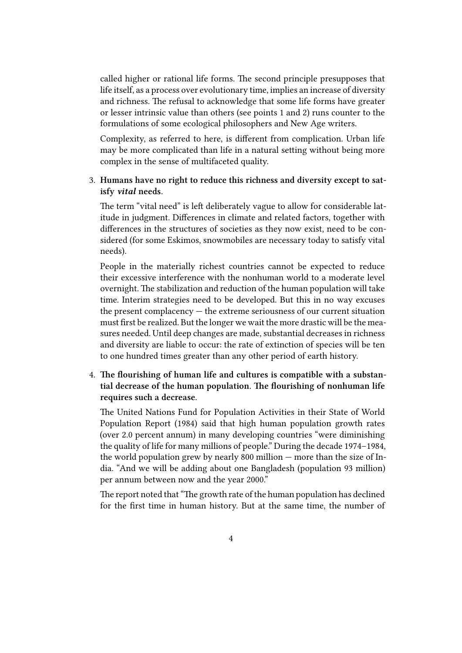called higher or rational life forms. The second principle presupposes that life itself, as a process over evolutionary time, implies an increase of diversity and richness. The refusal to acknowledge that some life forms have greater or lesser intrinsic value than others (see points 1 and 2) runs counter to the formulations of some ecological philosophers and New Age writers.

Complexity, as referred to here, is different from complication. Urban life may be more complicated than life in a natural setting without being more complex in the sense of multifaceted quality.

#### 3. **Humans have no right to reduce this richness and diversity except to satisfy** *vital* **needs.**

The term "vital need" is left deliberately vague to allow for considerable latitude in judgment. Differences in climate and related factors, together with differences in the structures of societies as they now exist, need to be considered (for some Eskimos, snowmobiles are necessary today to satisfy vital needs).

People in the materially richest countries cannot be expected to reduce their excessive interference with the nonhuman world to a moderate level overnight. The stabilization and reduction of the human population will take time. Interim strategies need to be developed. But this in no way excuses the present complacency — the extreme seriousness of our current situation must first be realized. But the longer we wait the more drastic will be the measures needed. Until deep changes are made, substantial decreases in richness and diversity are liable to occur: the rate of extinction of species will be ten to one hundred times greater than any other period of earth history.

4. **The flourishing of human life and cultures is compatible with a substantial decrease of the human population. The flourishing of nonhuman life requires such a decrease.**

The United Nations Fund for Population Activities in their State of World Population Report (1984) said that high human population growth rates (over 2.0 percent annum) in many developing countries "were diminishing the quality of life for many millions of people." During the decade 1974–1984, the world population grew by nearly 800 million — more than the size of India. "And we will be adding about one Bangladesh (population 93 million) per annum between now and the year 2000."

The report noted that "The growth rate of the human population has declined for the first time in human history. But at the same time, the number of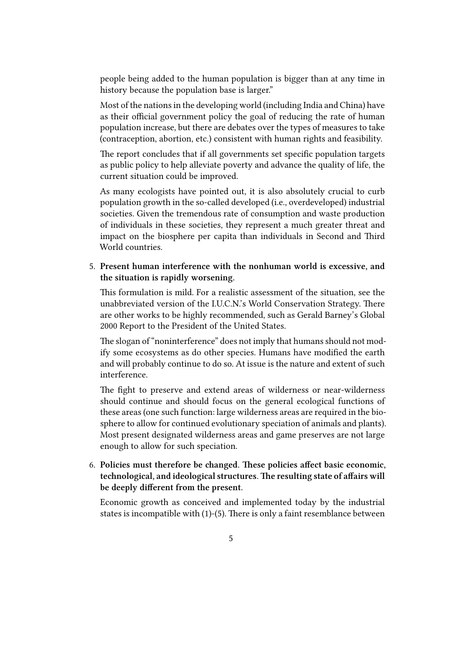people being added to the human population is bigger than at any time in history because the population base is larger."

Most of the nations in the developing world (including India and China) have as their official government policy the goal of reducing the rate of human population increase, but there are debates over the types of measures to take (contraception, abortion, etc.) consistent with human rights and feasibility.

The report concludes that if all governments set specific population targets as public policy to help alleviate poverty and advance the quality of life, the current situation could be improved.

As many ecologists have pointed out, it is also absolutely crucial to curb population growth in the so-called developed (i.e., overdeveloped) industrial societies. Given the tremendous rate of consumption and waste production of individuals in these societies, they represent a much greater threat and impact on the biosphere per capita than individuals in Second and Third World countries.

#### 5. **Present human interference with the nonhuman world is excessive, and the situation is rapidly worsening.**

This formulation is mild. For a realistic assessment of the situation, see the unabbreviated version of the I.U.C.N.'s World Conservation Strategy. There are other works to be highly recommended, such as Gerald Barney's Global 2000 Report to the President of the United States.

The slogan of "noninterference" does not imply that humans should not modify some ecosystems as do other species. Humans have modified the earth and will probably continue to do so. At issue is the nature and extent of such interference.

The fight to preserve and extend areas of wilderness or near-wilderness should continue and should focus on the general ecological functions of these areas (one such function: large wilderness areas are required in the biosphere to allow for continued evolutionary speciation of animals and plants). Most present designated wilderness areas and game preserves are not large enough to allow for such speciation.

#### 6. **Policies must therefore be changed. These policies affect basic economic, technological, and ideological structures.The resulting state of affairs will be deeply different from the present.**

Economic growth as conceived and implemented today by the industrial states is incompatible with (1)-(5). There is only a faint resemblance between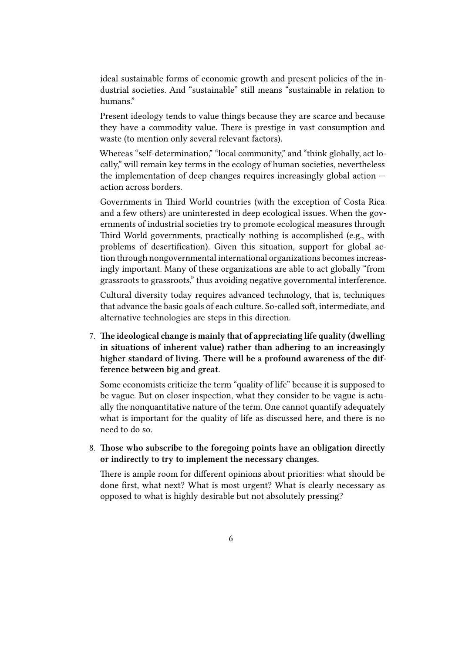ideal sustainable forms of economic growth and present policies of the industrial societies. And "sustainable" still means "sustainable in relation to humans."

Present ideology tends to value things because they are scarce and because they have a commodity value. There is prestige in vast consumption and waste (to mention only several relevant factors).

Whereas "self-determination," "local community," and "think globally, act locally," will remain key terms in the ecology of human societies, nevertheless the implementation of deep changes requires increasingly global action  $$ action across borders.

Governments in Third World countries (with the exception of Costa Rica and a few others) are uninterested in deep ecological issues. When the governments of industrial societies try to promote ecological measures through Third World governments, practically nothing is accomplished (e.g., with problems of desertification). Given this situation, support for global action through nongovernmental international organizations becomes increasingly important. Many of these organizations are able to act globally "from grassroots to grassroots," thus avoiding negative governmental interference.

Cultural diversity today requires advanced technology, that is, techniques that advance the basic goals of each culture. So-called soft, intermediate, and alternative technologies are steps in this direction.

7. **The ideological change is mainly that of appreciating life quality (dwelling in situations of inherent value) rather than adhering to an increasingly higher standard of living. There will be a profound awareness of the difference between big and great.**

Some economists criticize the term "quality of life" because it is supposed to be vague. But on closer inspection, what they consider to be vague is actually the nonquantitative nature of the term. One cannot quantify adequately what is important for the quality of life as discussed here, and there is no need to do so.

8. **Those who subscribe to the foregoing points have an obligation directly or indirectly to try to implement the necessary changes.**

There is ample room for different opinions about priorities: what should be done first, what next? What is most urgent? What is clearly necessary as opposed to what is highly desirable but not absolutely pressing?